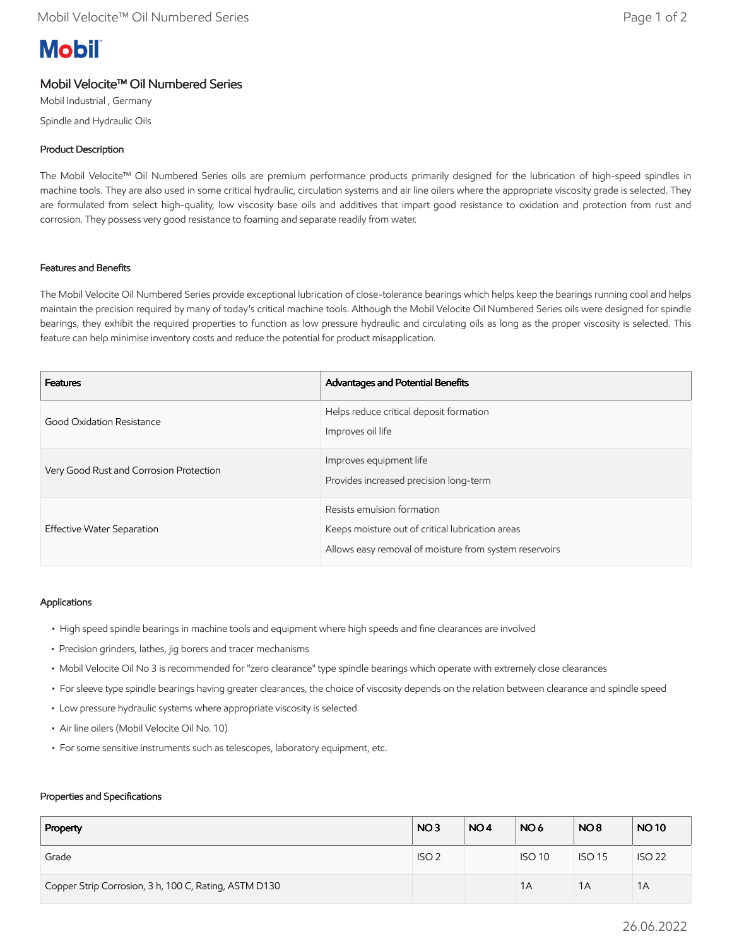# **Mobil**

# Mobil Velocite™ Oil Numbered Series

Mobil Industrial , Germany Spindle and Hydraulic Oils

## Product Description

The Mobil Velocite™ Oil Numbered Series oils are premium performance products primarily designed for the lubrication of high-speed spindles in machine tools. They are also used in some critical hydraulic, circulation systems and air line oilers where the appropriate viscosity grade is selected. They are formulated from select high-quality, low viscosity base oils and additives that impart good resistance to oxidation and protection from rust and corrosion. They possess very good resistance to foaming and separate readily from water.

### Features and Benefits

The Mobil Velocite Oil Numbered Series provide exceptional lubrication of close-tolerance bearings which helps keep the bearings running cool and helps maintain the precision required by many of today's critical machine tools. Although the Mobil Velocite Oil Numbered Series oils were designed for spindle bearings, they exhibit the required properties to function as low pressure hydraulic and circulating oils as long as the proper viscosity is selected. This feature can help minimise inventory costs and reduce the potential for product misapplication.

| <b>Features</b>                         | Advantages and Potential Benefits                                                                                                        |
|-----------------------------------------|------------------------------------------------------------------------------------------------------------------------------------------|
| Good Oxidation Resistance               | Helps reduce critical deposit formation<br>Improves oil life                                                                             |
| Very Good Rust and Corrosion Protection | Improves equipment life<br>Provides increased precision long-term                                                                        |
| Effective Water Separation              | Resists emulsion formation<br>Keeps moisture out of critical lubrication areas<br>Allows easy removal of moisture from system reservoirs |

#### Applications

- High speed spindle bearings in machine tools and equipment where high speeds and fine clearances are involved
- Precision grinders, lathes, jig borers and tracer mechanisms
- Mobil Velocite Oil No 3 is recommended for "zero clearance" type spindle bearings which operate with extremely close clearances
- For sleeve type spindle bearings having greater clearances, the choice of viscosity depends on the relation between clearance and spindle speed
- Low pressure hydraulic systems where appropriate viscosity is selected
- Air line oilers (Mobil Velocite Oil No. 10)
- For some sensitive instruments such as telescopes, laboratory equipment, etc.

#### Properties and Specifications

| Property                                              | NO <sub>3</sub>  | NO <sub>4</sub> | NO <sub>6</sub> | NO <sub>8</sub> | <b>NO10</b>   |
|-------------------------------------------------------|------------------|-----------------|-----------------|-----------------|---------------|
| Grade                                                 | ISO <sub>2</sub> |                 | <b>ISO 10</b>   | <b>ISO 15</b>   | <b>ISO 22</b> |
| Copper Strip Corrosion, 3 h, 100 C, Rating, ASTM D130 |                  |                 | 1A              | 1A              | 1A            |